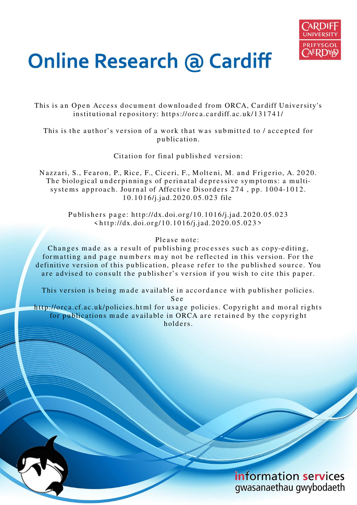

# **Online Research @ Cardiff**

This is an Open Access document downloaded from ORCA, Cardiff University's institutional repository: https://orca.cardiff.ac.uk/131741/

This is the author's version of a work that was submitted to / accepted for p u blication.

Citation for final published version:

Nazzari, S., Fearon, P., Rice, F., Ciceri, F., Molteni, M. and Frigerio, A. 2020. The biological underpinnings of perinatal depressive symptoms: a multisystems approach. Journal of Affective Disorders 274, pp. 1004-1012. 10.1016/j.jad.2020.05.023 file

> Publishers page: http://dx.doi.org/10.1016/j.jad.2020.05.023  $\langle \text{http://dx.doi.org/10.1016/j.jad.2020.05.023>}$

# Please note:

Changes made as a result of publishing processes such as copy-editing, formatting and page numbers may not be reflected in this version. For the definitive version of this publication, please refer to the published source. You are advised to consult the publisher's version if you wish to cite this paper.

This version is being made available in accordance with publisher policies. S e e

http://orca.cf.ac.uk/policies.html for usage policies. Copyright and moral rights for publications made available in ORCA are retained by the copyright holders



information services gwasanaethau gwybodaeth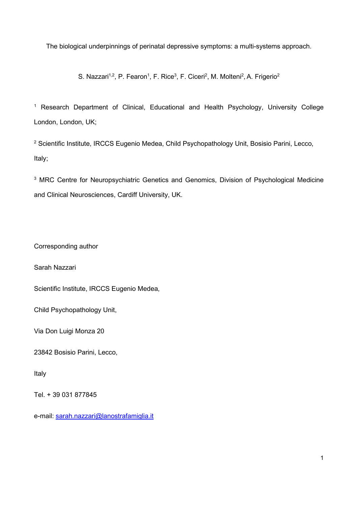The biological underpinnings of perinatal depressive symptoms: a multi-systems approach.

S. Nazzari<sup>1,2</sup>, P. Fearon<sup>1</sup>, F. Rice<sup>3</sup>, F. Ciceri<sup>2</sup>, M. Molteni<sup>2</sup>, A. Frigerio<sup>2</sup>

<sup>1</sup> Research Department of Clinical, Educational and Health Psychology, University College London, London, UK;

<sup>2</sup> Scientific Institute, IRCCS Eugenio Medea, Child Psychopathology Unit, Bosisio Parini, Lecco, Italy;

<sup>3</sup> MRC Centre for Neuropsychiatric Genetics and Genomics, Division of Psychological Medicine and Clinical Neurosciences, Cardiff University, UK.

Corresponding author

Sarah Nazzari

Scientific Institute, IRCCS Eugenio Medea,

Child Psychopathology Unit,

Via Don Luigi Monza 20

23842 Bosisio Parini, Lecco,

Italy

Tel. + 39 031 877845

e-mail: sarah.nazzari@lanostrafamiglia.it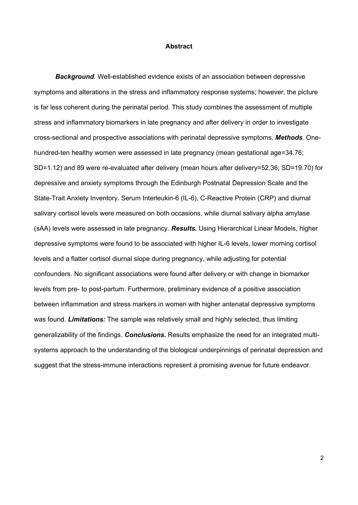# **Abstract**

*Background.* Well-established evidence exists of an association between depressive symptoms and alterations in the stress and inflammatory response systems; however, the picture is far less coherent during the perinatal period. This study combines the assessment of multiple stress and inflammatory biomarkers in late pregnancy and after delivery in order to investigate cross-sectional and prospective associations with perinatal depressive symptoms. *Methods.* Onehundred-ten healthy women were assessed in late pregnancy (mean gestational age=34.76; SD=1.12) and 89 were re-evaluated after delivery (mean hours after delivery=52.36; SD=19.70) for depressive and anxiety symptoms through the Edinburgh Postnatal Depression Scale and the State-Trait Anxiety Inventory. Serum Interleukin-6 (IL-6), C-Reactive Protein (CRP) and diurnal salivary cortisol levels were measured on both occasions, while diurnal salivary alpha amylase (sAA) levels were assessed in late pregnancy. *Results.* Using Hierarchical Linear Models, higher depressive symptoms were found to be associated with higher IL-6 levels, lower morning cortisol levels and a flatter cortisol diurnal slope during pregnancy, while adjusting for potential confounders. No significant associations were found after delivery or with change in biomarker levels from pre- to post-partum. Furthermore, preliminary evidence of a positive association between inflammation and stress markers in women with higher antenatal depressive symptoms was found. *Limitations:* The sample was relatively small and highly selected, thus limiting generalizability of the findings. *Conclusions.* Results emphasize the need for an integrated multisystems approach to the understanding of the biological underpinnings of perinatal depression and suggest that the stress-immune interactions represent a promising avenue for future endeavor.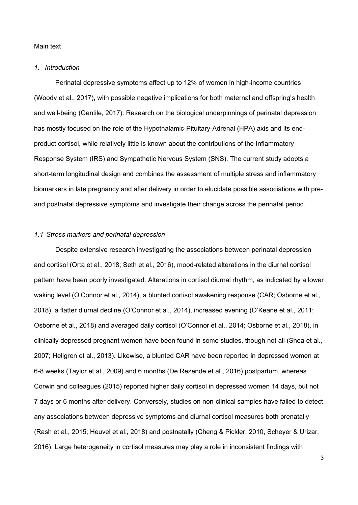# Main text

### *1. Introduction*

Perinatal depressive symptoms affect up to 12% of women in high-income countries (Woody et al., 2017), with possible negative implications for both maternal and offspring's health and well-being (Gentile, 2017). Research on the biological underpinnings of perinatal depression has mostly focused on the role of the Hypothalamic-Pituitary-Adrenal (HPA) axis and its endproduct cortisol, while relatively little is known about the contributions of the Inflammatory Response System (IRS) and Sympathetic Nervous System (SNS). The current study adopts a short-term longitudinal design and combines the assessment of multiple stress and inflammatory biomarkers in late pregnancy and after delivery in order to elucidate possible associations with preand postnatal depressive symptoms and investigate their change across the perinatal period.

# *1.1 Stress markers and perinatal depression*

Despite extensive research investigating the associations between perinatal depression and cortisol (Orta et al., 2018; Seth et al., 2016), mood-related alterations in the diurnal cortisol pattern have been poorly investigated. Alterations in cortisol diurnal rhythm, as indicated by a lower waking level (O'Connor et al., 2014), a blunted cortisol awakening response (CAR; Osborne et al., 2018), a flatter diurnal decline (O'Connor et al., 2014), increased evening (O'Keane et al., 2011; Osborne et al., 2018) and averaged daily cortisol (O'Connor et al., 2014; Osborne et al., 2018), in clinically depressed pregnant women have been found in some studies, though not all (Shea et al., 2007; Hellgren et al., 2013). Likewise, a blunted CAR have been reported in depressed women at 6-8 weeks (Taylor et al., 2009) and 6 months (De Rezende et al., 2016) postpartum, whereas Corwin and colleagues (2015) reported higher daily cortisol in depressed women 14 days, but not 7 days or 6 months after delivery. Conversely, studies on non-clinical samples have failed to detect any associations between depressive symptoms and diurnal cortisol measures both prenatally (Rash et al., 2015; Heuvel et al., 2018) and postnatally (Cheng & Pickler, 2010, Scheyer & Urizar, 2016). Large heterogeneity in cortisol measures may play a role in inconsistent findings with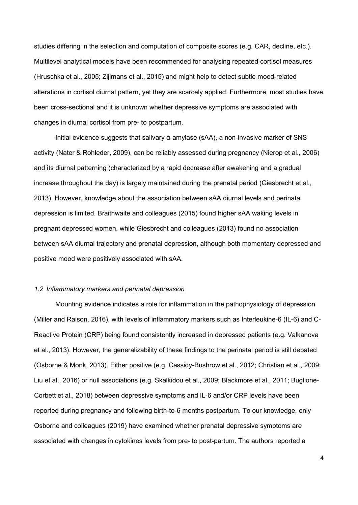studies differing in the selection and computation of composite scores (e.g. CAR, decline, etc.). Multilevel analytical models have been recommended for analysing repeated cortisol measures (Hruschka et al., 2005; Zijlmans et al., 2015) and might help to detect subtle mood-related alterations in cortisol diurnal pattern, yet they are scarcely applied. Furthermore, most studies have been cross-sectional and it is unknown whether depressive symptoms are associated with changes in diurnal cortisol from pre- to postpartum.

Initial evidence suggests that salivary α-amylase (sAA), a non-invasive marker of SNS activity (Nater & Rohleder, 2009), can be reliably assessed during pregnancy (Nierop et al., 2006) and its diurnal patterning (characterized by a rapid decrease after awakening and a gradual increase throughout the day) is largely maintained during the prenatal period (Giesbrecht et al., 2013). However, knowledge about the association between sAA diurnal levels and perinatal depression is limited. Braithwaite and colleagues (2015) found higher sAA waking levels in pregnant depressed women, while Giesbrecht and colleagues (2013) found no association between sAA diurnal trajectory and prenatal depression, although both momentary depressed and positive mood were positively associated with sAA.

#### *1.2 Inflammatory markers and perinatal depression*

Mounting evidence indicates a role for inflammation in the pathophysiology of depression (Miller and Raison, 2016), with levels of inflammatory markers such as Interleukine-6 (IL-6) and C-Reactive Protein (CRP) being found consistently increased in depressed patients (e.g. Valkanova et al., 2013). However, the generalizability of these findings to the perinatal period is still debated (Osborne & Monk, 2013). Either positive (e.g. Cassidy-Bushrow et al., 2012; Christian et al., 2009; Liu et al., 2016) or null associations (e.g. Skalkidou et al., 2009; Blackmore et al., 2011; Buglione-Corbett et al., 2018) between depressive symptoms and IL-6 and/or CRP levels have been reported during pregnancy and following birth-to-6 months postpartum. To our knowledge, only Osborne and colleagues (2019) have examined whether prenatal depressive symptoms are associated with changes in cytokines levels from pre- to post-partum. The authors reported a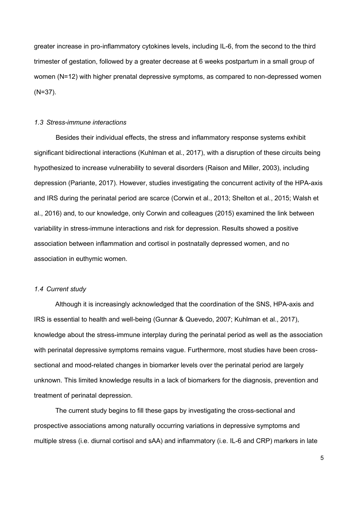greater increase in pro-inflammatory cytokines levels, including IL-6, from the second to the third trimester of gestation, followed by a greater decrease at 6 weeks postpartum in a small group of women (N=12) with higher prenatal depressive symptoms, as compared to non-depressed women (N=37).

### *1.3 Stress-immune interactions*

Besides their individual effects, the stress and inflammatory response systems exhibit significant bidirectional interactions (Kuhlman et al., 2017), with a disruption of these circuits being hypothesized to increase vulnerability to several disorders (Raison and Miller, 2003), including depression (Pariante, 2017). However, studies investigating the concurrent activity of the HPA-axis and IRS during the perinatal period are scarce (Corwin et al., 2013; Shelton et al., 2015; Walsh et al., 2016) and, to our knowledge, only Corwin and colleagues (2015) examined the link between variability in stress-immune interactions and risk for depression. Results showed a positive association between inflammation and cortisol in postnatally depressed women, and no association in euthymic women.

### *1.4 Current study*

Although it is increasingly acknowledged that the coordination of the SNS, HPA-axis and IRS is essential to health and well-being (Gunnar & Quevedo, 2007; Kuhlman et al., 2017), knowledge about the stress-immune interplay during the perinatal period as well as the association with perinatal depressive symptoms remains vague. Furthermore, most studies have been crosssectional and mood-related changes in biomarker levels over the perinatal period are largely unknown. This limited knowledge results in a lack of biomarkers for the diagnosis, prevention and treatment of perinatal depression.

The current study begins to fill these gaps by investigating the cross-sectional and prospective associations among naturally occurring variations in depressive symptoms and multiple stress (i.e. diurnal cortisol and sAA) and inflammatory (i.e. IL-6 and CRP) markers in late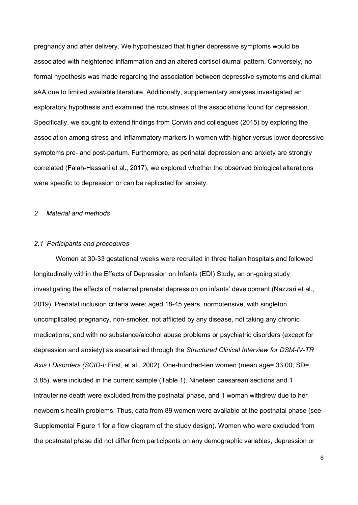pregnancy and after delivery. We hypothesized that higher depressive symptoms would be associated with heightened inflammation and an altered cortisol diurnal pattern. Conversely, no formal hypothesis was made regarding the association between depressive symptoms and diurnal sAA due to limited available literature. Additionally, supplementary analyses investigated an exploratory hypothesis and examined the robustness of the associations found for depression. Specifically, we sought to extend findings from Corwin and colleagues (2015) by exploring the association among stress and inflammatory markers in women with higher versus lower depressive symptoms pre- and post-partum. Furthermore, as perinatal depression and anxiety are strongly correlated (Falah-Hassani et al., 2017), we explored whether the observed biological alterations were specific to depression or can be replicated for anxiety.

### *2 Material and methods*

#### *2.1 Participants and procedures*

Women at 30-33 gestational weeks were recruited in three Italian hospitals and followed longitudinally within the Effects of Depression on Infants (EDI) Study, an on-going study investigating the effects of maternal prenatal depression on infants' development (Nazzari et al., 2019). Prenatal inclusion criteria were: aged 18-45 years, normotensive, with singleton uncomplicated pregnancy, non-smoker, not afflicted by any disease, not taking any chronic medications, and with no substance/alcohol abuse problems or psychiatric disorders (except for depression and anxiety) as ascertained through the *Structured Clinical Interview for DSM-IV-TR Axis I Disorders (SCID-I;* First, et al., 2002). One-hundred-ten women (mean age= 33.00; SD= 3.85), were included in the current sample (Table 1). Nineteen caesarean sections and 1 intrauterine death were excluded from the postnatal phase, and 1 woman withdrew due to her newborn's health problems. Thus, data from 89 women were available at the postnatal phase (see Supplemental Figure 1 for a flow diagram of the study design). Women who were excluded from the postnatal phase did not differ from participants on any demographic variables, depression or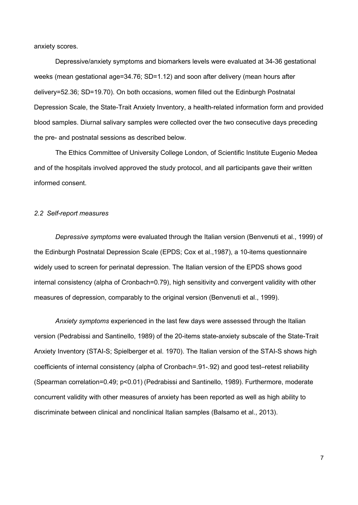anxiety scores.

Depressive/anxiety symptoms and biomarkers levels were evaluated at 34-36 gestational weeks (mean gestational age=34.76; SD=1.12) and soon after delivery (mean hours after delivery=52.36; SD=19.70). On both occasions, women filled out the Edinburgh Postnatal Depression Scale, the State-Trait Anxiety Inventory, a health-related information form and provided blood samples. Diurnal salivary samples were collected over the two consecutive days preceding the pre- and postnatal sessions as described below.

The Ethics Committee of University College London, of Scientific Institute Eugenio Medea and of the hospitals involved approved the study protocol, and all participants gave their written informed consent.

### *2.2 Self-report measures*

*Depressive symptoms* were evaluated through the Italian version (Benvenuti et al., 1999) of the Edinburgh Postnatal Depression Scale (EPDS; Cox et al.,1987), a 10-items questionnaire widely used to screen for perinatal depression. The Italian version of the EPDS shows good internal consistency (alpha of Cronbach=0.79), high sensitivity and convergent validity with other measures of depression, comparably to the original version (Benvenuti et al., 1999).

*Anxiety symptoms* experienced in the last few days were assessed through the Italian version (Pedrabissi and Santinello, 1989) of the 20-items state-anxiety subscale of the State-Trait Anxiety Inventory (STAI-S; Spielberger et al. 1970). The Italian version of the STAI-S shows high coefficients of internal consistency (alpha of Cronbach=.91-.92) and good test–retest reliability (Spearman correlation=0.49; p<0.01) (Pedrabissi and Santinello, 1989). Furthermore, moderate concurrent validity with other measures of anxiety has been reported as well as high ability to discriminate between clinical and nonclinical Italian samples (Balsamo et al., 2013).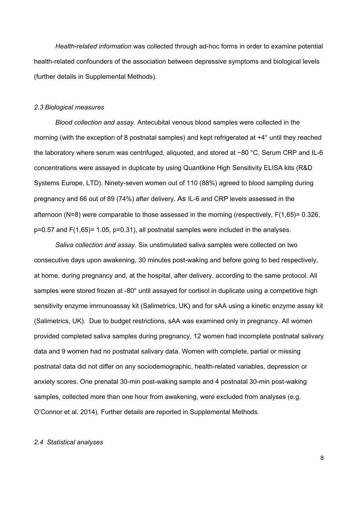*Health-related information* was collected through ad-hoc forms in order to examine potential health-related confounders of the association between depressive symptoms and biological levels (further details in Supplemental Methods).

#### *2.3 Biological measures*

*Blood collection and assay.* Antecubital venous blood samples were collected in the morning (with the exception of 8 postnatal samples) and kept refrigerated at +4° until they reached the laboratory where serum was centrifuged, aliquoted, and stored at −80 °C. Serum CRP and IL-6 concentrations were assayed in duplicate by using Quantikine High Sensitivity ELISA kits (R&D Systems Europe, LTD). Ninety-seven women out of 110 (88%) agreed to blood sampling during pregnancy and 66 out of 89 (74%) after delivery. As IL-6 and CRP levels assessed in the afternoon (N=8) were comparable to those assessed in the morning (respectively, F(1,65)= 0.326, p=0.57 and F(1,65)= 1.05, p=0.31), all postnatal samples were included in the analyses.

*Saliva collection and assay*. Six unstimulated saliva samples were collected on two consecutive days upon awakening, 30 minutes post-waking and before going to bed respectively, at home, during pregnancy and, at the hospital, after delivery, according to the same protocol. All samples were stored frozen at -80° until assayed for cortisol in duplicate using a competitive high sensitivity enzyme immunoassay kit (Salimetrics, UK) and for sAA using a kinetic enzyme assay kit (Salimetrics, UK). Due to budget restrictions, sAA was examined only in pregnancy. All women provided completed saliva samples during pregnancy, 12 women had incomplete postnatal salivary data and 9 women had no postnatal salivary data. Women with complete, partial or missing postnatal data did not differ on any sociodemographic, health-related variables, depression or anxiety scores. One prenatal 30-min post-waking sample and 4 postnatal 30-min post-waking samples, collected more than one hour from awakening, were excluded from analyses (e.g. O'Connor et al. 2014). Further details are reported in Supplemental Methods.

# *2.4 Statistical analyses*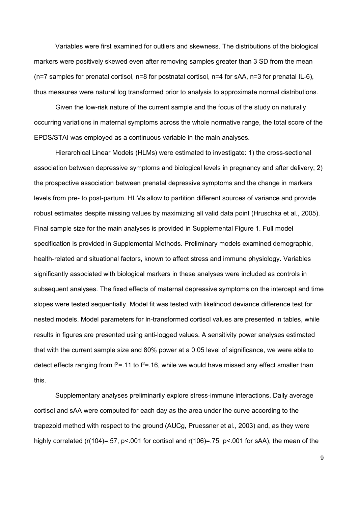Variables were first examined for outliers and skewness. The distributions of the biological markers were positively skewed even after removing samples greater than 3 SD from the mean  $(n=7)$  samples for prenatal cortisol, n=8 for postnatal cortisol, n=4 for sAA, n=3 for prenatal IL-6), thus measures were natural log transformed prior to analysis to approximate normal distributions.

Given the low-risk nature of the current sample and the focus of the study on naturally occurring variations in maternal symptoms across the whole normative range, the total score of the EPDS/STAI was employed as a continuous variable in the main analyses.

Hierarchical Linear Models (HLMs) were estimated to investigate: 1) the cross-sectional association between depressive symptoms and biological levels in pregnancy and after delivery; 2) the prospective association between prenatal depressive symptoms and the change in markers levels from pre- to post-partum. HLMs allow to partition different sources of variance and provide robust estimates despite missing values by maximizing all valid data point (Hruschka et al., 2005). Final sample size for the main analyses is provided in Supplemental Figure 1. Full model specification is provided in Supplemental Methods. Preliminary models examined demographic, health-related and situational factors, known to affect stress and immune physiology. Variables significantly associated with biological markers in these analyses were included as controls in subsequent analyses. The fixed effects of maternal depressive symptoms on the intercept and time slopes were tested sequentially. Model fit was tested with likelihood deviance difference test for nested models. Model parameters for ln-transformed cortisol values are presented in tables, while results in figures are presented using anti-logged values. A sensitivity power analyses estimated that with the current sample size and 80% power at a 0.05 level of significance, we were able to detect effects ranging from  $f^2$ =.11 to  $f^2$ =.16, while we would have missed any effect smaller than this.

Supplementary analyses preliminarily explore stress-immune interactions. Daily average cortisol and sAA were computed for each day as the area under the curve according to the trapezoid method with respect to the ground (AUCg, Pruessner et al., 2003) and, as they were highly correlated (r(104)=.57, p<.001 for cortisol and r(106)=.75, p<.001 for sAA), the mean of the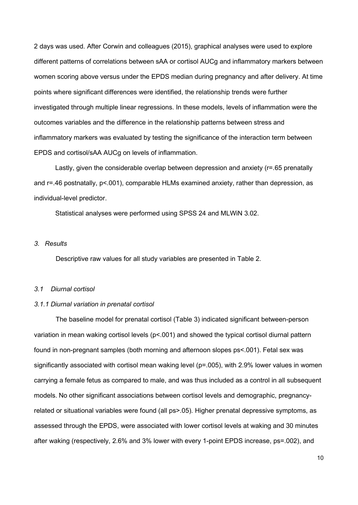2 days was used. After Corwin and colleagues (2015), graphical analyses were used to explore different patterns of correlations between sAA or cortisol AUCg and inflammatory markers between women scoring above versus under the EPDS median during pregnancy and after delivery. At time points where significant differences were identified, the relationship trends were further investigated through multiple linear regressions. In these models, levels of inflammation were the outcomes variables and the difference in the relationship patterns between stress and inflammatory markers was evaluated by testing the significance of the interaction term between EPDS and cortisol/sAA AUCg on levels of inflammation.

Lastly, given the considerable overlap between depression and anxiety (r=.65 prenatally and r=.46 postnatally, p<.001), comparable HLMs examined anxiety, rather than depression, as individual-level predictor.

Statistical analyses were performed using SPSS 24 and MLWiN 3.02.

# *3. Results*

Descriptive raw values for all study variables are presented in Table 2.

#### *3.1 Diurnal cortisol*

#### *3.1.1 Diurnal variation in prenatal cortisol*

The baseline model for prenatal cortisol (Table 3) indicated significant between-person variation in mean waking cortisol levels (p<.001) and showed the typical cortisol diurnal pattern found in non-pregnant samples (both morning and afternoon slopes ps<.001). Fetal sex was significantly associated with cortisol mean waking level (p=.005), with 2.9% lower values in women carrying a female fetus as compared to male, and was thus included as a control in all subsequent models. No other significant associations between cortisol levels and demographic, pregnancyrelated or situational variables were found (all ps>.05). Higher prenatal depressive symptoms, as assessed through the EPDS, were associated with lower cortisol levels at waking and 30 minutes after waking (respectively, 2.6% and 3% lower with every 1-point EPDS increase, ps=.002), and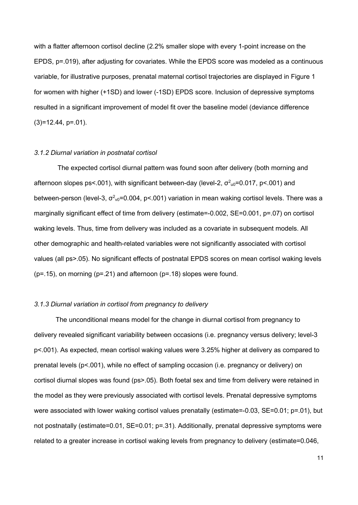with a flatter afternoon cortisol decline (2.2% smaller slope with every 1-point increase on the EPDS, p=.019), after adjusting for covariates. While the EPDS score was modeled as a continuous variable, for illustrative purposes, prenatal maternal cortisol trajectories are displayed in Figure 1 for women with higher (+1SD) and lower (-1SD) EPDS score. Inclusion of depressive symptoms resulted in a significant improvement of model fit over the baseline model (deviance difference  $(3)=12.44$ , p=.01).

#### *3.1.2 Diurnal variation in postnatal cortisol*

The expected cortisol diurnal pattern was found soon after delivery (both morning and afternoon slopes ps<.001), with significant between-day (level-2,  $\sigma^2$ <sub>u0</sub>=0.017, p<.001) and between-person (level-3,  $\sigma^2$ <sub>v0</sub>=0.004, p<.001) variation in mean waking cortisol levels. There was a marginally significant effect of time from delivery (estimate=-0.002, SE=0.001, p=.07) on cortisol waking levels. Thus, time from delivery was included as a covariate in subsequent models. All other demographic and health-related variables were not significantly associated with cortisol values (all ps>.05). No significant effects of postnatal EPDS scores on mean cortisol waking levels  $(p=.15)$ , on morning  $(p=.21)$  and afternoon  $(p=.18)$  slopes were found.

#### *3.1.3 Diurnal variation in cortisol from pregnancy to delivery*

The unconditional means model for the change in diurnal cortisol from pregnancy to delivery revealed significant variability between occasions (i.e. pregnancy versus delivery; level-3 p<.001). As expected, mean cortisol waking values were 3.25% higher at delivery as compared to prenatal levels (p<.001), while no effect of sampling occasion (i.e. pregnancy or delivery) on cortisol diurnal slopes was found (ps>.05). Both foetal sex and time from delivery were retained in the model as they were previously associated with cortisol levels. Prenatal depressive symptoms were associated with lower waking cortisol values prenatally (estimate=-0.03, SE=0.01; p=.01), but not postnatally (estimate=0.01, SE=0.01; p=.31). Additionally, prenatal depressive symptoms were related to a greater increase in cortisol waking levels from pregnancy to delivery (estimate=0.046,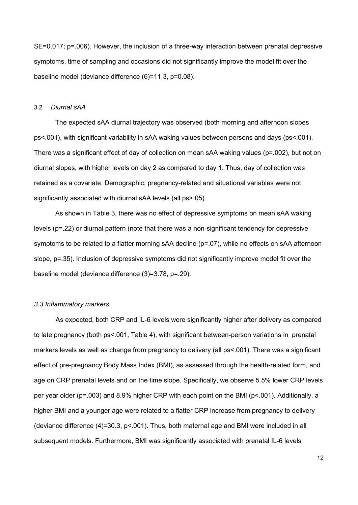SE=0.017; p=.006). However, the inclusion of a three-way interaction between prenatal depressive symptoms, time of sampling and occasions did not significantly improve the model fit over the baseline model (deviance difference (6)=11.3, p=0.08).

#### 3.2 *Diurnal sAA*

The expected sAA diurnal trajectory was observed (both morning and afternoon slopes ps<.001), with significant variability in sAA waking values between persons and days (ps<.001). There was a significant effect of day of collection on mean sAA waking values (p=.002), but not on diurnal slopes, with higher levels on day 2 as compared to day 1. Thus, day of collection was retained as a covariate. Demographic, pregnancy-related and situational variables were not significantly associated with diurnal sAA levels (all ps>.05).

As shown in Table 3, there was no effect of depressive symptoms on mean sAA waking levels (p=.22) or diurnal pattern (note that there was a non-significant tendency for depressive symptoms to be related to a flatter morning sAA decline (p=.07), while no effects on sAA afternoon slope,  $p=35$ ). Inclusion of depressive symptoms did not significantly improve model fit over the baseline model (deviance difference (3)=3.78, p=.29).

#### *3.3 Inflammatory markers*

As expected, both CRP and IL-6 levels were significantly higher after delivery as compared to late pregnancy (both ps<.001, Table 4), with significant between-person variations in prenatal markers levels as well as change from pregnancy to delivery (all ps<.001). There was a significant effect of pre-pregnancy Body Mass Index (BMI), as assessed through the health-related form, and age on CRP prenatal levels and on the time slope. Specifically, we observe 5.5% lower CRP levels per year older (p=.003) and 8.9% higher CRP with each point on the BMI (p<.001). Additionally, a higher BMI and a younger age were related to a flatter CRP increase from pregnancy to delivery (deviance difference (4)=30.3, p<.001). Thus, both maternal age and BMI were included in all subsequent models. Furthermore, BMI was significantly associated with prenatal IL-6 levels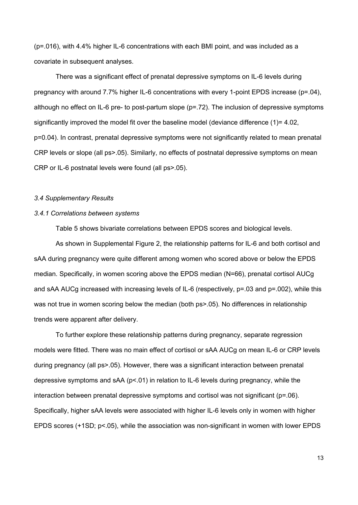(p=.016), with 4.4% higher IL-6 concentrations with each BMI point, and was included as a covariate in subsequent analyses.

There was a significant effect of prenatal depressive symptoms on IL-6 levels during pregnancy with around 7.7% higher IL-6 concentrations with every 1-point EPDS increase (p=.04), although no effect on IL-6 pre- to post-partum slope (p=.72). The inclusion of depressive symptoms significantly improved the model fit over the baseline model (deviance difference (1)= 4.02, p=0.04). In contrast, prenatal depressive symptoms were not significantly related to mean prenatal CRP levels or slope (all ps>.05). Similarly, no effects of postnatal depressive symptoms on mean CRP or IL-6 postnatal levels were found (all ps>.05).

#### *3.4 Supplementary Results*

### *3.4.1 Correlations between systems*

Table 5 shows bivariate correlations between EPDS scores and biological levels.

As shown in Supplemental Figure 2, the relationship patterns for IL-6 and both cortisol and sAA during pregnancy were quite different among women who scored above or below the EPDS median. Specifically, in women scoring above the EPDS median (N=66), prenatal cortisol AUCg and sAA AUCg increased with increasing levels of IL-6 (respectively, p=.03 and p=.002), while this was not true in women scoring below the median (both ps>.05). No differences in relationship trends were apparent after delivery.

To further explore these relationship patterns during pregnancy, separate regression models were fitted. There was no main effect of cortisol or sAA AUCg on mean IL-6 or CRP levels during pregnancy (all ps>.05). However, there was a significant interaction between prenatal depressive symptoms and sAA (p<.01) in relation to IL-6 levels during pregnancy, while the interaction between prenatal depressive symptoms and cortisol was not significant (p=.06). Specifically, higher sAA levels were associated with higher IL-6 levels only in women with higher EPDS scores (+1SD; p<.05), while the association was non-significant in women with lower EPDS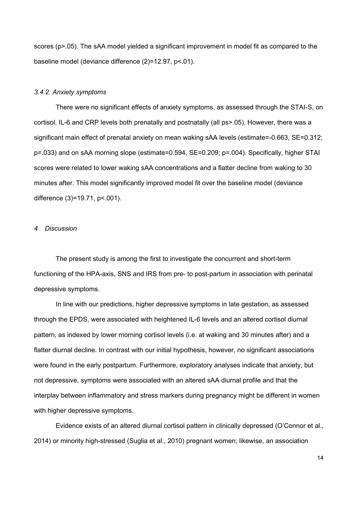scores (p>.05). The sAA model yielded a significant improvement in model fit as compared to the baseline model (deviance difference (2)=12.97, p<.01).

#### *3.4.2. Anxiety symptoms*

There were no significant effects of anxiety symptoms, as assessed through the STAI-S, on cortisol, IL-6 and CRP levels both prenatally and postnatally (all ps>.05). However, there was a significant main effect of prenatal anxiety on mean waking sAA levels (estimate=-0.663, SE=0.312; p=.033) and on sAA morning slope (estimate=0.594, SE=0.209; p=.004). Specifically, higher STAI scores were related to lower waking sAA concentrations and a flatter decline from waking to 30 minutes after. This model significantly improved model fit over the baseline model (deviance difference (3)=19.71, p<.001).

### *4 Discussion*

The present study is among the first to investigate the concurrent and short-term functioning of the HPA-axis, SNS and IRS from pre- to post-partum in association with perinatal depressive symptoms.

In line with our predictions, higher depressive symptoms in late gestation, as assessed through the EPDS, were associated with heightened IL-6 levels and an altered cortisol diurnal pattern, as indexed by lower morning cortisol levels (i.e. at waking and 30 minutes after) and a flatter diurnal decline. In contrast with our initial hypothesis, however, no significant associations were found in the early postpartum. Furthermore, exploratory analyses indicate that anxiety, but not depressive, symptoms were associated with an altered sAA diurnal profile and that the interplay between inflammatory and stress markers during pregnancy might be different in women with higher depressive symptoms.

Evidence exists of an altered diurnal cortisol pattern in clinically depressed (O'Connor et al., 2014) or minority high-stressed (Suglia et al., 2010) pregnant women; likewise, an association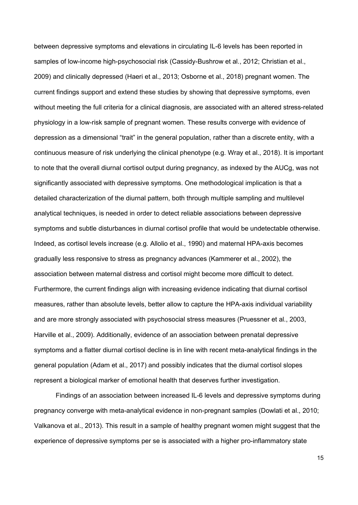between depressive symptoms and elevations in circulating IL-6 levels has been reported in samples of low-income high-psychosocial risk (Cassidy-Bushrow et al., 2012; Christian et al., 2009) and clinically depressed (Haeri et al., 2013; Osborne et al., 2018) pregnant women. The current findings support and extend these studies by showing that depressive symptoms, even without meeting the full criteria for a clinical diagnosis, are associated with an altered stress-related physiology in a low-risk sample of pregnant women. These results converge with evidence of depression as a dimensional "trait" in the general population, rather than a discrete entity, with a continuous measure of risk underlying the clinical phenotype (e.g. Wray et al., 2018). It is important to note that the overall diurnal cortisol output during pregnancy, as indexed by the AUCg, was not significantly associated with depressive symptoms. One methodological implication is that a detailed characterization of the diurnal pattern, both through multiple sampling and multilevel analytical techniques, is needed in order to detect reliable associations between depressive symptoms and subtle disturbances in diurnal cortisol profile that would be undetectable otherwise. Indeed, as cortisol levels increase (e.g. Allolio et al., 1990) and maternal HPA-axis becomes gradually less responsive to stress as pregnancy advances (Kammerer et al., 2002), the association between maternal distress and cortisol might become more difficult to detect. Furthermore, the current findings align with increasing evidence indicating that diurnal cortisol measures, rather than absolute levels, better allow to capture the HPA-axis individual variability and are more strongly associated with psychosocial stress measures (Pruessner et al., 2003, Harville et al., 2009). Additionally, evidence of an association between prenatal depressive symptoms and a flatter diurnal cortisol decline is in line with recent meta-analytical findings in the general population (Adam et al., 2017) and possibly indicates that the diurnal cortisol slopes represent a biological marker of emotional health that deserves further investigation.

Findings of an association between increased IL-6 levels and depressive symptoms during pregnancy converge with meta-analytical evidence in non-pregnant samples (Dowlati et al., 2010; Valkanova et al., 2013). This result in a sample of healthy pregnant women might suggest that the experience of depressive symptoms per se is associated with a higher pro-inflammatory state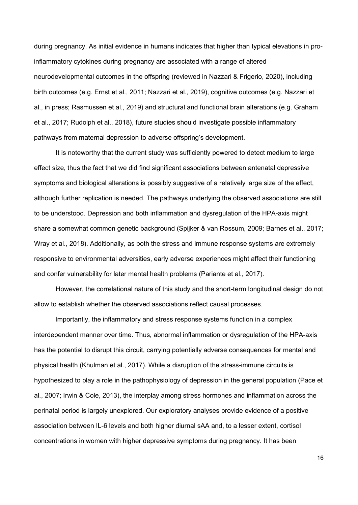during pregnancy. As initial evidence in humans indicates that higher than typical elevations in proinflammatory cytokines during pregnancy are associated with a range of altered neurodevelopmental outcomes in the offspring (reviewed in Nazzari & Frigerio, 2020), including birth outcomes (e.g. Ernst et al., 2011; Nazzari et al., 2019), cognitive outcomes (e.g. Nazzari et al., in press; Rasmussen et al., 2019) and structural and functional brain alterations (e.g. Graham et al., 2017; Rudolph et al., 2018), future studies should investigate possible inflammatory pathways from maternal depression to adverse offspring's development.

It is noteworthy that the current study was sufficiently powered to detect medium to large effect size, thus the fact that we did find significant associations between antenatal depressive symptoms and biological alterations is possibly suggestive of a relatively large size of the effect, although further replication is needed. The pathways underlying the observed associations are still to be understood. Depression and both inflammation and dysregulation of the HPA-axis might share a somewhat common genetic background (Spijker & van Rossum, 2009; Barnes et al., 2017; Wray et al., 2018). Additionally, as both the stress and immune response systems are extremely responsive to environmental adversities, early adverse experiences might affect their functioning and confer vulnerability for later mental health problems (Pariante et al., 2017).

However, the correlational nature of this study and the short-term longitudinal design do not allow to establish whether the observed associations reflect causal processes.

Importantly, the inflammatory and stress response systems function in a complex interdependent manner over time. Thus, abnormal inflammation or dysregulation of the HPA-axis has the potential to disrupt this circuit, carrying potentially adverse consequences for mental and physical health (Khulman et al., 2017). While a disruption of the stress-immune circuits is hypothesized to play a role in the pathophysiology of depression in the general population (Pace et al., 2007; Irwin & Cole, 2013), the interplay among stress hormones and inflammation across the perinatal period is largely unexplored. Our exploratory analyses provide evidence of a positive association between IL-6 levels and both higher diurnal sAA and, to a lesser extent, cortisol concentrations in women with higher depressive symptoms during pregnancy. It has been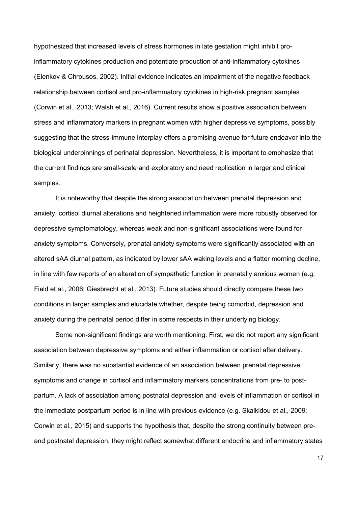hypothesized that increased levels of stress hormones in late gestation might inhibit proinflammatory cytokines production and potentiate production of anti-inflammatory cytokines (Elenkov & Chrousos, 2002). Initial evidence indicates an impairment of the negative feedback relationship between cortisol and pro-inflammatory cytokines in high-risk pregnant samples (Corwin et al., 2013; Walsh et al., 2016). Current results show a positive association between stress and inflammatory markers in pregnant women with higher depressive symptoms, possibly suggesting that the stress-immune interplay offers a promising avenue for future endeavor into the biological underpinnings of perinatal depression. Nevertheless, it is important to emphasize that the current findings are small-scale and exploratory and need replication in larger and clinical samples.

It is noteworthy that despite the strong association between prenatal depression and anxiety, cortisol diurnal alterations and heightened inflammation were more robustly observed for depressive symptomatology, whereas weak and non-significant associations were found for anxiety symptoms. Conversely, prenatal anxiety symptoms were significantly associated with an altered sAA diurnal pattern, as indicated by lower sAA waking levels and a flatter morning decline, in line with few reports of an alteration of sympathetic function in prenatally anxious women (e.g. Field et al., 2006; Giesbrecht et al., 2013). Future studies should directly compare these two conditions in larger samples and elucidate whether, despite being comorbid, depression and anxiety during the perinatal period differ in some respects in their underlying biology.

Some non-significant findings are worth mentioning. First, we did not report any significant association between depressive symptoms and either inflammation or cortisol after delivery. Similarly, there was no substantial evidence of an association between prenatal depressive symptoms and change in cortisol and inflammatory markers concentrations from pre- to postpartum. A lack of association among postnatal depression and levels of inflammation or cortisol in the immediate postpartum period is in line with previous evidence (e.g. Skalkidou et al., 2009; Corwin et al., 2015) and supports the hypothesis that, despite the strong continuity between preand postnatal depression, they might reflect somewhat different endocrine and inflammatory states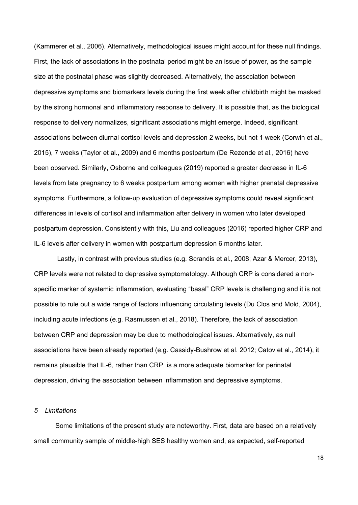(Kammerer et al., 2006). Alternatively, methodological issues might account for these null findings. First, the lack of associations in the postnatal period might be an issue of power, as the sample size at the postnatal phase was slightly decreased. Alternatively, the association between depressive symptoms and biomarkers levels during the first week after childbirth might be masked by the strong hormonal and inflammatory response to delivery. It is possible that, as the biological response to delivery normalizes, significant associations might emerge. Indeed, significant associations between diurnal cortisol levels and depression 2 weeks, but not 1 week (Corwin et al., 2015), 7 weeks (Taylor et al., 2009) and 6 months postpartum (De Rezende et al., 2016) have been observed. Similarly, Osborne and colleagues (2019) reported a greater decrease in IL-6 levels from late pregnancy to 6 weeks postpartum among women with higher prenatal depressive symptoms. Furthermore, a follow-up evaluation of depressive symptoms could reveal significant differences in levels of cortisol and inflammation after delivery in women who later developed postpartum depression. Consistently with this, Liu and colleagues (2016) reported higher CRP and IL-6 levels after delivery in women with postpartum depression 6 months later.

Lastly, in contrast with previous studies (e.g. Scrandis et al., 2008; Azar & Mercer, 2013), CRP levels were not related to depressive symptomatology. Although CRP is considered a nonspecific marker of systemic inflammation, evaluating "basal" CRP levels is challenging and it is not possible to rule out a wide range of factors influencing circulating levels (Du Clos and Mold, 2004), including acute infections (e.g. Rasmussen et al., 2018). Therefore, the lack of association between CRP and depression may be due to methodological issues. Alternatively, as null associations have been already reported (e.g. Cassidy-Bushrow et al. 2012; Catov et al., 2014), it remains plausible that IL-6, rather than CRP, is a more adequate biomarker for perinatal depression, driving the association between inflammation and depressive symptoms.

# *5 Limitations*

Some limitations of the present study are noteworthy. First, data are based on a relatively small community sample of middle-high SES healthy women and, as expected, self-reported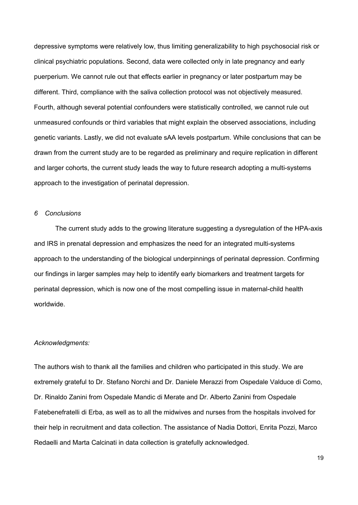depressive symptoms were relatively low, thus limiting generalizability to high psychosocial risk or clinical psychiatric populations. Second, data were collected only in late pregnancy and early puerperium. We cannot rule out that effects earlier in pregnancy or later postpartum may be different. Third, compliance with the saliva collection protocol was not objectively measured. Fourth, although several potential confounders were statistically controlled, we cannot rule out unmeasured confounds or third variables that might explain the observed associations, including genetic variants. Lastly, we did not evaluate sAA levels postpartum. While conclusions that can be drawn from the current study are to be regarded as preliminary and require replication in different and larger cohorts, the current study leads the way to future research adopting a multi-systems approach to the investigation of perinatal depression.

# *6 Conclusions*

The current study adds to the growing literature suggesting a dysregulation of the HPA-axis and IRS in prenatal depression and emphasizes the need for an integrated multi-systems approach to the understanding of the biological underpinnings of perinatal depression. Confirming our findings in larger samples may help to identify early biomarkers and treatment targets for perinatal depression, which is now one of the most compelling issue in maternal-child health worldwide.

#### *Acknowledgments:*

The authors wish to thank all the families and children who participated in this study. We are extremely grateful to Dr. Stefano Norchi and Dr. Daniele Merazzi from Ospedale Valduce di Como, Dr. Rinaldo Zanini from Ospedale Mandic di Merate and Dr. Alberto Zanini from Ospedale Fatebenefratelli di Erba, as well as to all the midwives and nurses from the hospitals involved for their help in recruitment and data collection. The assistance of Nadia Dottori, Enrita Pozzi, Marco Redaelli and Marta Calcinati in data collection is gratefully acknowledged.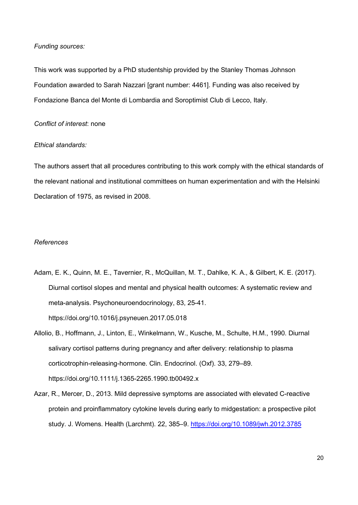# *Funding sources:*

This work was supported by a PhD studentship provided by the Stanley Thomas Johnson Foundation awarded to Sarah Nazzari [grant number: 4461]. Funding was also received by Fondazione Banca del Monte di Lombardia and Soroptimist Club di Lecco, Italy.

## *Conflict of interest*: none

# *Ethical standards:*

The authors assert that all procedures contributing to this work comply with the ethical standards of the relevant national and institutional committees on human experimentation and with the Helsinki Declaration of 1975, as revised in 2008.

### *References*

- Adam, E. K., Quinn, M. E., Tavernier, R., McQuillan, M. T., Dahlke, K. A., & Gilbert, K. E. (2017). Diurnal cortisol slopes and mental and physical health outcomes: A systematic review and meta-analysis. Psychoneuroendocrinology, 83, 25-41. https://doi.org/10.1016/j.psyneuen.2017.05.018
- Allolio, B., Hoffmann, J., Linton, E., Winkelmann, W., Kusche, M., Schulte, H.M., 1990. Diurnal salivary cortisol patterns during pregnancy and after delivery: relationship to plasma corticotrophin-releasing-hormone. Clin. Endocrinol. (Oxf). 33, 279–89. https://doi.org/10.1111/j.1365-2265.1990.tb00492.x
- Azar, R., Mercer, D., 2013. Mild depressive symptoms are associated with elevated C-reactive protein and proinflammatory cytokine levels during early to midgestation: a prospective pilot study. J. Womens. Health (Larchmt). 22, 385–9. https://doi.org/10.1089/jwh.2012.3785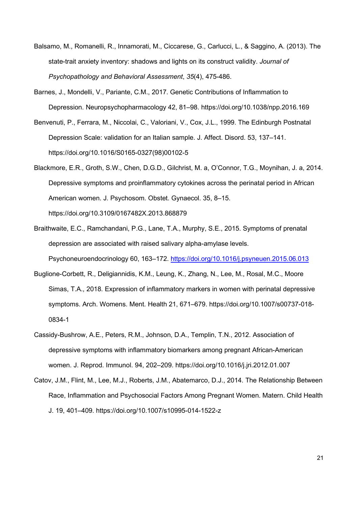- Balsamo, M., Romanelli, R., Innamorati, M., Ciccarese, G., Carlucci, L., & Saggino, A. (2013). The state-trait anxiety inventory: shadows and lights on its construct validity. *Journal of Psychopathology and Behavioral Assessment*, *35*(4), 475-486.
- Barnes, J., Mondelli, V., Pariante, C.M., 2017. Genetic Contributions of Inflammation to Depression. Neuropsychopharmacology 42, 81–98. https://doi.org/10.1038/npp.2016.169
- Benvenuti, P., Ferrara, M., Niccolai, C., Valoriani, V., Cox, J.L., 1999. The Edinburgh Postnatal Depression Scale: validation for an Italian sample. J. Affect. Disord. 53, 137–141. https://doi.org/10.1016/S0165-0327(98)00102-5
- Blackmore, E.R., Groth, S.W., Chen, D.G.D., Gilchrist, M. a, O'Connor, T.G., Moynihan, J. a, 2014. Depressive symptoms and proinflammatory cytokines across the perinatal period in African American women. J. Psychosom. Obstet. Gynaecol. 35, 8–15. https://doi.org/10.3109/0167482X.2013.868879
- Braithwaite, E.C., Ramchandani, P.G., Lane, T.A., Murphy, S.E., 2015. Symptoms of prenatal depression are associated with raised salivary alpha-amylase levels. Psychoneuroendocrinology 60, 163–172. https://doi.org/10.1016/j.psyneuen.2015.06.013
- Buglione-Corbett, R., Deligiannidis, K.M., Leung, K., Zhang, N., Lee, M., Rosal, M.C., Moore Simas, T.A., 2018. Expression of inflammatory markers in women with perinatal depressive symptoms. Arch. Womens. Ment. Health 21, 671–679. https://doi.org/10.1007/s00737-018- 0834-1
- Cassidy-Bushrow, A.E., Peters, R.M., Johnson, D.A., Templin, T.N., 2012. Association of depressive symptoms with inflammatory biomarkers among pregnant African-American women. J. Reprod. Immunol. 94, 202–209. https://doi.org/10.1016/j.jri.2012.01.007
- Catov, J.M., Flint, M., Lee, M.J., Roberts, J.M., Abatemarco, D.J., 2014. The Relationship Between Race, Inflammation and Psychosocial Factors Among Pregnant Women. Matern. Child Health J. 19, 401–409. https://doi.org/10.1007/s10995-014-1522-z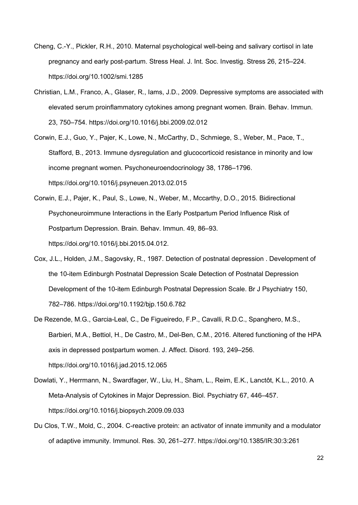- Cheng, C.-Y., Pickler, R.H., 2010. Maternal psychological well-being and salivary cortisol in late pregnancy and early post-partum. Stress Heal. J. Int. Soc. Investig. Stress 26, 215–224. https://doi.org/10.1002/smi.1285
- Christian, L.M., Franco, A., Glaser, R., Iams, J.D., 2009. Depressive symptoms are associated with elevated serum proinflammatory cytokines among pregnant women. Brain. Behav. Immun. 23, 750–754. https://doi.org/10.1016/j.bbi.2009.02.012
- Corwin, E.J., Guo, Y., Pajer, K., Lowe, N., McCarthy, D., Schmiege, S., Weber, M., Pace, T., Stafford, B., 2013. Immune dysregulation and glucocorticoid resistance in minority and low income pregnant women. Psychoneuroendocrinology 38, 1786–1796. https://doi.org/10.1016/j.psyneuen.2013.02.015
- Corwin, E.J., Pajer, K., Paul, S., Lowe, N., Weber, M., Mccarthy, D.O., 2015. Bidirectional Psychoneuroimmune Interactions in the Early Postpartum Period Influence Risk of Postpartum Depression. Brain. Behav. Immun. 49, 86–93. https://doi.org/10.1016/j.bbi.2015.04.012.
- Cox, J.L., Holden, J.M., Sagovsky, R., 1987. Detection of postnatal depression . Development of the 10-item Edinburgh Postnatal Depression Scale Detection of Postnatal Depression Development of the 10-item Edinburgh Postnatal Depression Scale. Br J Psychiatry 150, 782–786. https://doi.org/10.1192/bjp.150.6.782
- De Rezende, M.G., Garcia-Leal, C., De Figueiredo, F.P., Cavalli, R.D.C., Spanghero, M.S., Barbieri, M.A., Bettiol, H., De Castro, M., Del-Ben, C.M., 2016. Altered functioning of the HPA axis in depressed postpartum women. J. Affect. Disord. 193, 249–256. https://doi.org/10.1016/j.jad.2015.12.065
- Dowlati, Y., Herrmann, N., Swardfager, W., Liu, H., Sham, L., Reim, E.K., Lanctôt, K.L., 2010. A Meta-Analysis of Cytokines in Major Depression. Biol. Psychiatry 67, 446–457. https://doi.org/10.1016/j.biopsych.2009.09.033
- Du Clos, T.W., Mold, C., 2004. C-reactive protein: an activator of innate immunity and a modulator of adaptive immunity. Immunol. Res. 30, 261–277. https://doi.org/10.1385/IR:30:3:261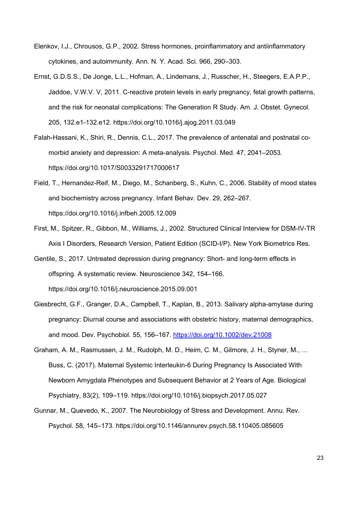- Elenkov, I.J., Chrousos, G.P., 2002. Stress hormones, proinflammatory and antiinflammatory cytokines, and autoimmunity. Ann. N. Y. Acad. Sci. 966, 290–303.
- Ernst, G.D.S.S., De Jonge, L.L., Hofman, A., Lindemans, J., Russcher, H., Steegers, E.A.P.P., Jaddoe, V.W.V. V, 2011. C-reactive protein levels in early pregnancy, fetal growth patterns, and the risk for neonatal complications: The Generation R Study. Am. J. Obstet. Gynecol. 205, 132.e1-132.e12. https://doi.org/10.1016/j.ajog.2011.03.049
- Falah-Hassani, K., Shiri, R., Dennis, C.L., 2017. The prevalence of antenatal and postnatal comorbid anxiety and depression: A meta-analysis. Psychol. Med. 47, 2041–2053. https://doi.org/10.1017/S0033291717000617
- Field, T., Hernandez-Reif, M., Diego, M., Schanberg, S., Kuhn, C., 2006. Stability of mood states and biochemistry across pregnancy. Infant Behav. Dev. 29, 262–267. https://doi.org/10.1016/j.infbeh.2005.12.009
- First, M., Spitzer, R., Gibbon, M., Williams, J., 2002. Structured Clinical Interview for DSM-IV-TR Axis I Disorders, Research Version, Patient Edition (SCID-I/P). New York Biometrics Res.
- Gentile, S., 2017. Untreated depression during pregnancy: Short- and long-term effects in offspring. A systematic review. Neuroscience 342, 154–166. https://doi.org/10.1016/j.neuroscience.2015.09.001
- Giesbrecht, G.F., Granger, D.A., Campbell, T., Kaplan, B., 2013. Salivary alpha-amylase during pregnancy: Diurnal course and associations with obstetric history, maternal demographics, and mood. Dev. Psychobiol. 55, 156–167. https://doi.org/10.1002/dev.21008
- Graham, A. M., Rasmussen, J. M., Rudolph, M. D., Heim, C. M., Gilmore, J. H., Styner, M., … Buss, C. (2017). Maternal Systemic Interleukin-6 During Pregnancy Is Associated With Newborn Amygdala Phenotypes and Subsequent Behavior at 2 Years of Age. Biological Psychiatry, 83(2), 109–119. https://doi.org/10.1016/j.biopsych.2017.05.027
- Gunnar, M., Quevedo, K., 2007. The Neurobiology of Stress and Development. Annu. Rev. Psychol. 58, 145–173. https://doi.org/10.1146/annurev.psych.58.110405.085605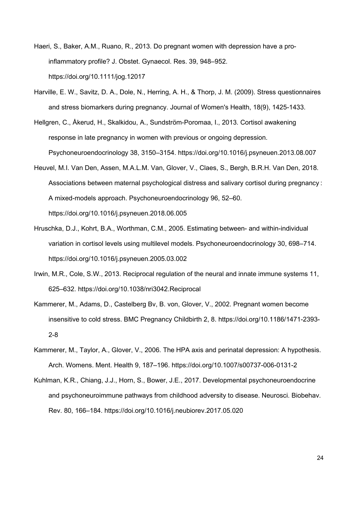- Haeri, S., Baker, A.M., Ruano, R., 2013. Do pregnant women with depression have a proinflammatory profile? J. Obstet. Gynaecol. Res. 39, 948–952. https://doi.org/10.1111/jog.12017
- Harville, E. W., Savitz, D. A., Dole, N., Herring, A. H., & Thorp, J. M. (2009). Stress questionnaires and stress biomarkers during pregnancy. Journal of Women's Health, 18(9), 1425-1433.
- Hellgren, C., Åkerud, H., Skalkidou, A., Sundström-Poromaa, I., 2013. Cortisol awakening response in late pregnancy in women with previous or ongoing depression. Psychoneuroendocrinology 38, 3150–3154. https://doi.org/10.1016/j.psyneuen.2013.08.007
- Heuvel, M.I. Van Den, Assen, M.A.L.M. Van, Glover, V., Claes, S., Bergh, B.R.H. Van Den, 2018. Associations between maternal psychological distress and salivary cortisol during pregnancy : A mixed-models approach. Psychoneuroendocrinology 96, 52–60. https://doi.org/10.1016/j.psyneuen.2018.06.005
- Hruschka, D.J., Kohrt, B.A., Worthman, C.M., 2005. Estimating between- and within-individual variation in cortisol levels using multilevel models. Psychoneuroendocrinology 30, 698–714. https://doi.org/10.1016/j.psyneuen.2005.03.002
- Irwin, M.R., Cole, S.W., 2013. Reciprocal regulation of the neural and innate immune systems 11, 625–632. https://doi.org/10.1038/nri3042.Reciprocal
- Kammerer, M., Adams, D., Castelberg Bv, B. von, Glover, V., 2002. Pregnant women become insensitive to cold stress. BMC Pregnancy Childbirth 2, 8. https://doi.org/10.1186/1471-2393- 2-8
- Kammerer, M., Taylor, A., Glover, V., 2006. The HPA axis and perinatal depression: A hypothesis. Arch. Womens. Ment. Health 9, 187–196. https://doi.org/10.1007/s00737-006-0131-2
- Kuhlman, K.R., Chiang, J.J., Horn, S., Bower, J.E., 2017. Developmental psychoneuroendocrine and psychoneuroimmune pathways from childhood adversity to disease. Neurosci. Biobehav. Rev. 80, 166–184. https://doi.org/10.1016/j.neubiorev.2017.05.020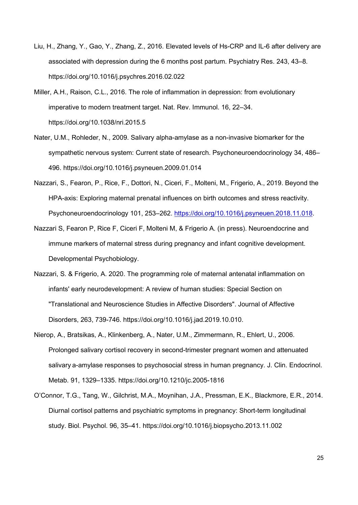- Liu, H., Zhang, Y., Gao, Y., Zhang, Z., 2016. Elevated levels of Hs-CRP and IL-6 after delivery are associated with depression during the 6 months post partum. Psychiatry Res. 243, 43–8. https://doi.org/10.1016/j.psychres.2016.02.022
- Miller, A.H., Raison, C.L., 2016. The role of inflammation in depression: from evolutionary imperative to modern treatment target. Nat. Rev. Immunol. 16, 22–34. https://doi.org/10.1038/nri.2015.5
- Nater, U.M., Rohleder, N., 2009. Salivary alpha-amylase as a non-invasive biomarker for the sympathetic nervous system: Current state of research. Psychoneuroendocrinology 34, 486– 496. https://doi.org/10.1016/j.psyneuen.2009.01.014
- Nazzari, S., Fearon, P., Rice, F., Dottori, N., Ciceri, F., Molteni, M., Frigerio, A., 2019. Beyond the HPA-axis: Exploring maternal prenatal influences on birth outcomes and stress reactivity. Psychoneuroendocrinology 101, 253–262. https://doi.org/10.1016/j.psyneuen.2018.11.018.
- Nazzari S, Fearon P, Rice F, Ciceri F, Molteni M, & Frigerio A. (in press). Neuroendocrine and immune markers of maternal stress during pregnancy and infant cognitive development. Developmental Psychobiology.
- Nazzari, S. & Frigerio, A. 2020. The programming role of maternal antenatal inflammation on infants' early neurodevelopment: A review of human studies: Special Section on "Translational and Neuroscience Studies in Affective Disorders". Journal of Affective Disorders, 263, 739-746. https://doi.org/10.1016/j.jad.2019.10.010.
- Nierop, A., Bratsikas, A., Klinkenberg, A., Nater, U.M., Zimmermann, R., Ehlert, U., 2006. Prolonged salivary cortisol recovery in second-trimester pregnant women and attenuated salivary a-amylase responses to psychosocial stress in human pregnancy. J. Clin. Endocrinol. Metab. 91, 1329–1335. https://doi.org/10.1210/jc.2005-1816
- O'Connor, T.G., Tang, W., Gilchrist, M.A., Moynihan, J.A., Pressman, E.K., Blackmore, E.R., 2014. Diurnal cortisol patterns and psychiatric symptoms in pregnancy: Short-term longitudinal study. Biol. Psychol. 96, 35–41. https://doi.org/10.1016/j.biopsycho.2013.11.002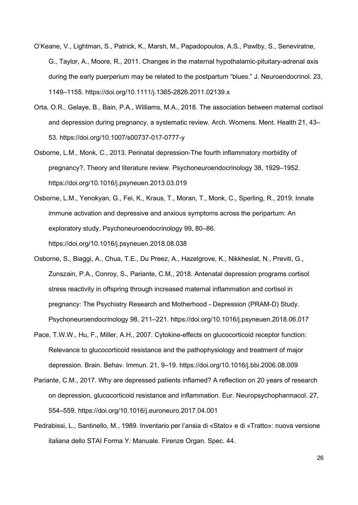- O'Keane, V., Lightman, S., Patrick, K., Marsh, M., Papadopoulos, A.S., Pawlby, S., Seneviratne, G., Taylor, A., Moore, R., 2011. Changes in the maternal hypothalamic-pituitary-adrenal axis during the early puerperium may be related to the postpartum "blues." J. Neuroendocrinol. 23, 1149–1155. https://doi.org/10.1111/j.1365-2826.2011.02139.x
- Orta, O.R., Gelaye, B., Bain, P.A., Williams, M.A., 2018. The association between maternal cortisol and depression during pregnancy, a systematic review. Arch. Womens. Ment. Health 21, 43– 53. https://doi.org/10.1007/s00737-017-0777-y
- Osborne, L.M., Monk, C., 2013. Perinatal depression-The fourth inflammatory morbidity of pregnancy?. Theory and literature review. Psychoneuroendocrinology 38, 1929–1952. https://doi.org/10.1016/j.psyneuen.2013.03.019
- Osborne, L.M., Yenokyan, G., Fei, K., Kraus, T., Moran, T., Monk, C., Sperling, R., 2019. Innate immune activation and depressive and anxious symptoms across the peripartum: An exploratory study. Psychoneuroendocrinology 99, 80–86. https://doi.org/10.1016/j.psyneuen.2018.08.038
- Osborne, S., Biaggi, A., Chua, T.E., Du Preez, A., Hazelgrove, K., Nikkheslat, N., Previti, G., Zunszain, P.A., Conroy, S., Pariante, C.M., 2018. Antenatal depression programs cortisol stress reactivity in offspring through increased maternal inflammation and cortisol in pregnancy: The Psychiatry Research and Motherhood - Depression (PRAM-D) Study. Psychoneuroendocrinology 98, 211–221. https://doi.org/10.1016/j.psyneuen.2018.06.017
- Pace, T.W.W., Hu, F., Miller, A.H., 2007. Cytokine-effects on glucocorticoid receptor function: Relevance to glucocorticoid resistance and the pathophysiology and treatment of major depression. Brain. Behav. Immun. 21, 9–19. https://doi.org/10.1016/j.bbi.2006.08.009
- Pariante, C.M., 2017. Why are depressed patients inflamed? A reflection on 20 years of research on depression, glucocorticoid resistance and inflammation. Eur. Neuropsychopharmacol. 27, 554–559. https://doi.org/10.1016/j.euroneuro.2017.04.001
- Pedrabissi, L., Santinello, M., 1989. Inventario per l'ansia di «Stato» e di «Tratto»: nuova versione italiana dello STAI Forma Y: Manuale. Firenze Organ. Spec. 44.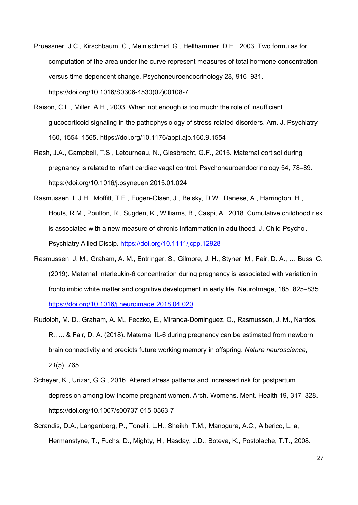- Pruessner, J.C., Kirschbaum, C., Meinlschmid, G., Hellhammer, D.H., 2003. Two formulas for computation of the area under the curve represent measures of total hormone concentration versus time-dependent change. Psychoneuroendocrinology 28, 916–931. https://doi.org/10.1016/S0306-4530(02)00108-7
- Raison, C.L., Miller, A.H., 2003. When not enough is too much: the role of insufficient glucocorticoid signaling in the pathophysiology of stress-related disorders. Am. J. Psychiatry 160, 1554–1565. https://doi.org/10.1176/appi.ajp.160.9.1554
- Rash, J.A., Campbell, T.S., Letourneau, N., Giesbrecht, G.F., 2015. Maternal cortisol during pregnancy is related to infant cardiac vagal control. Psychoneuroendocrinology 54, 78–89. https://doi.org/10.1016/j.psyneuen.2015.01.024
- Rasmussen, L.J.H., Moffitt, T.E., Eugen-Olsen, J., Belsky, D.W., Danese, A., Harrington, H., Houts, R.M., Poulton, R., Sugden, K., Williams, B., Caspi, A., 2018. Cumulative childhood risk is associated with a new measure of chronic inflammation in adulthood. J. Child Psychol. Psychiatry Allied Discip. https://doi.org/10.1111/jcpp.12928
- Rasmussen, J. M., Graham, A. M., Entringer, S., Gilmore, J. H., Styner, M., Fair, D. A., … Buss, C. (2019). Maternal Interleukin-6 concentration during pregnancy is associated with variation in frontolimbic white matter and cognitive development in early life. NeuroImage, 185, 825–835. https://doi.org/10.1016/j.neuroimage.2018.04.020
- Rudolph, M. D., Graham, A. M., Feczko, E., Miranda-Dominguez, O., Rasmussen, J. M., Nardos, R., ... & Fair, D. A. (2018). Maternal IL-6 during pregnancy can be estimated from newborn brain connectivity and predicts future working memory in offspring. *Nature neuroscience*, *21*(5), 765.
- Scheyer, K., Urizar, G.G., 2016. Altered stress patterns and increased risk for postpartum depression among low-income pregnant women. Arch. Womens. Ment. Health 19, 317–328. https://doi.org/10.1007/s00737-015-0563-7
- Scrandis, D.A., Langenberg, P., Tonelli, L.H., Sheikh, T.M., Manogura, A.C., Alberico, L. a, Hermanstyne, T., Fuchs, D., Mighty, H., Hasday, J.D., Boteva, K., Postolache, T.T., 2008.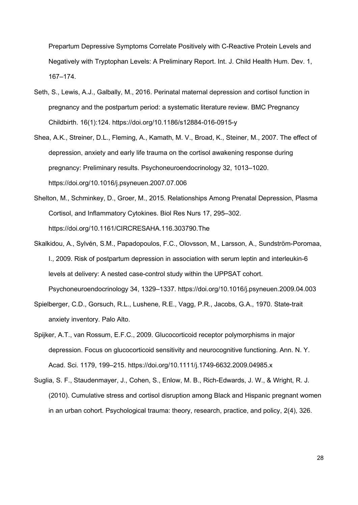Prepartum Depressive Symptoms Correlate Positively with C-Reactive Protein Levels and Negatively with Tryptophan Levels: A Preliminary Report. Int. J. Child Health Hum. Dev. 1, 167–174.

- Seth, S., Lewis, A.J., Galbally, M., 2016. Perinatal maternal depression and cortisol function in pregnancy and the postpartum period: a systematic literature review. BMC Pregnancy Childbirth. 16(1):124. https://doi.org/10.1186/s12884-016-0915-y
- Shea, A.K., Streiner, D.L., Fleming, A., Kamath, M. V., Broad, K., Steiner, M., 2007. The effect of depression, anxiety and early life trauma on the cortisol awakening response during pregnancy: Preliminary results. Psychoneuroendocrinology 32, 1013–1020. https://doi.org/10.1016/j.psyneuen.2007.07.006
- Shelton, M., Schminkey, D., Groer, M., 2015. Relationships Among Prenatal Depression, Plasma Cortisol, and Inflammatory Cytokines. Biol Res Nurs 17, 295–302. https://doi.org/10.1161/CIRCRESAHA.116.303790.The
- Skalkidou, A., Sylvén, S.M., Papadopoulos, F.C., Olovsson, M., Larsson, A., Sundström-Poromaa, I., 2009. Risk of postpartum depression in association with serum leptin and interleukin-6 levels at delivery: A nested case-control study within the UPPSAT cohort. Psychoneuroendocrinology 34, 1329–1337. https://doi.org/10.1016/j.psyneuen.2009.04.003
- Spielberger, C.D., Gorsuch, R.L., Lushene, R.E., Vagg, P.R., Jacobs, G.A., 1970. State-trait anxiety inventory. Palo Alto.
- Spijker, A.T., van Rossum, E.F.C., 2009. Glucocorticoid receptor polymorphisms in major depression. Focus on glucocorticoid sensitivity and neurocognitive functioning. Ann. N. Y. Acad. Sci. 1179, 199–215. https://doi.org/10.1111/j.1749-6632.2009.04985.x
- Suglia, S. F., Staudenmayer, J., Cohen, S., Enlow, M. B., Rich-Edwards, J. W., & Wright, R. J. (2010). Cumulative stress and cortisol disruption among Black and Hispanic pregnant women in an urban cohort. Psychological trauma: theory, research, practice, and policy, 2(4), 326.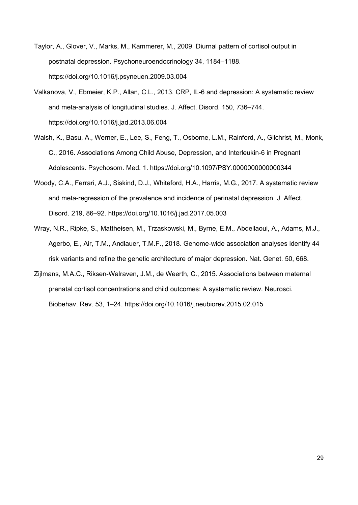- Taylor, A., Glover, V., Marks, M., Kammerer, M., 2009. Diurnal pattern of cortisol output in postnatal depression. Psychoneuroendocrinology 34, 1184–1188. https://doi.org/10.1016/j.psyneuen.2009.03.004
- Valkanova, V., Ebmeier, K.P., Allan, C.L., 2013. CRP, IL-6 and depression: A systematic review and meta-analysis of longitudinal studies. J. Affect. Disord. 150, 736–744. https://doi.org/10.1016/j.jad.2013.06.004
- Walsh, K., Basu, A., Werner, E., Lee, S., Feng, T., Osborne, L.M., Rainford, A., Gilchrist, M., Monk, C., 2016. Associations Among Child Abuse, Depression, and Interleukin-6 in Pregnant Adolescents. Psychosom. Med. 1. https://doi.org/10.1097/PSY.0000000000000344
- Woody, C.A., Ferrari, A.J., Siskind, D.J., Whiteford, H.A., Harris, M.G., 2017. A systematic review and meta-regression of the prevalence and incidence of perinatal depression. J. Affect. Disord. 219, 86–92. https://doi.org/10.1016/j.jad.2017.05.003
- Wray, N.R., Ripke, S., Mattheisen, M., Trzaskowski, M., Byrne, E.M., Abdellaoui, A., Adams, M.J., Agerbo, E., Air, T.M., Andlauer, T.M.F., 2018. Genome-wide association analyses identify 44 risk variants and refine the genetic architecture of major depression. Nat. Genet. 50, 668.
- Zijlmans, M.A.C., Riksen-Walraven, J.M., de Weerth, C., 2015. Associations between maternal prenatal cortisol concentrations and child outcomes: A systematic review. Neurosci. Biobehav. Rev. 53, 1–24. https://doi.org/10.1016/j.neubiorev.2015.02.015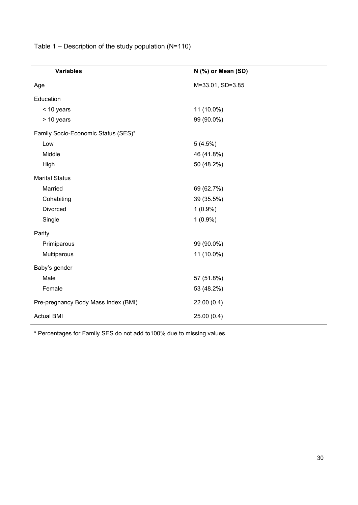| <b>Variables</b>                    | N (%) or Mean (SD) |
|-------------------------------------|--------------------|
| Age                                 | M=33.01, SD=3.85   |
| Education                           |                    |
| < 10 years                          | 11 (10.0%)         |
| > 10 years                          | 99 (90.0%)         |
| Family Socio-Economic Status (SES)* |                    |
| Low                                 | 5(4.5%)            |
| Middle                              | 46 (41.8%)         |
| High                                | 50 (48.2%)         |
| <b>Marital Status</b>               |                    |
| Married                             | 69 (62.7%)         |
| Cohabiting                          | 39 (35.5%)         |
| Divorced                            | $1(0.9\%)$         |
| Single                              | $1(0.9\%)$         |
| Parity                              |                    |
| Primiparous                         | 99 (90.0%)         |
| Multiparous                         | 11 (10.0%)         |
| Baby's gender                       |                    |
| Male                                | 57 (51.8%)         |
| Female                              | 53 (48.2%)         |
| Pre-pregnancy Body Mass Index (BMI) | 22.00(0.4)         |
| <b>Actual BMI</b>                   | 25.00(0.4)         |

Table 1 – Description of the study population (N=110)

\* Percentages for Family SES do not add to100% due to missing values.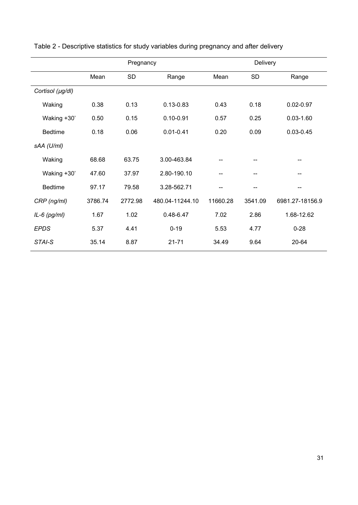|                  |         | Pregnancy |                 | Delivery |           |                 |  |  |
|------------------|---------|-----------|-----------------|----------|-----------|-----------------|--|--|
|                  | Mean    | <b>SD</b> | Range           | Mean     | <b>SD</b> | Range           |  |  |
| Cortisol (µg/dl) |         |           |                 |          |           |                 |  |  |
| Waking           | 0.38    | 0.13      | $0.13 - 0.83$   | 0.43     | 0.18      | $0.02 - 0.97$   |  |  |
| Waking +30'      | 0.50    | 0.15      | $0.10 - 0.91$   | 0.57     | 0.25      | $0.03 - 1.60$   |  |  |
| <b>Bedtime</b>   | 0.18    | 0.06      | $0.01 - 0.41$   | 0.20     | 0.09      | $0.03 - 0.45$   |  |  |
| sAA (U/ml)       |         |           |                 |          |           |                 |  |  |
| Waking           | 68.68   | 63.75     | 3.00-463.84     |          | --        |                 |  |  |
| Waking +30'      | 47.60   | 37.97     | 2.80-190.10     |          |           |                 |  |  |
| <b>Bedtime</b>   | 97.17   | 79.58     | 3.28-562.71     |          | --        | --              |  |  |
| CRP (ng/ml)      | 3786.74 | 2772.98   | 480.04-11244.10 | 11660.28 | 3541.09   | 6981.27-18156.9 |  |  |
| $IL-6$ (pg/ml)   | 1.67    | 1.02      | $0.48 - 6.47$   | 7.02     | 2.86      | 1.68-12.62      |  |  |
| <b>EPDS</b>      | 5.37    | 4.41      | $0 - 19$        | 5.53     | 4.77      | $0 - 28$        |  |  |
| STAI-S           | 35.14   | 8.87      | $21 - 71$       | 34.49    | 9.64      | 20-64           |  |  |

Table 2 - Descriptive statistics for study variables during pregnancy and after delivery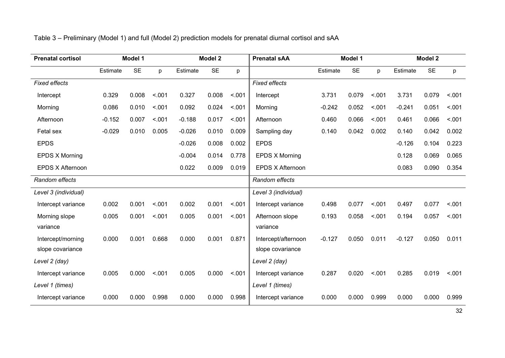| <b>Prenatal cortisol</b> | Model 1  |           | <b>Model 2</b> |          | <b>Prenatal SAA</b> | Model 1 |                       | Model 2  |           |        |          |           |         |
|--------------------------|----------|-----------|----------------|----------|---------------------|---------|-----------------------|----------|-----------|--------|----------|-----------|---------|
|                          | Estimate | <b>SE</b> | p              | Estimate | <b>SE</b>           | p       |                       | Estimate | <b>SE</b> | p      | Estimate | <b>SE</b> | p       |
| <b>Fixed effects</b>     |          |           |                |          |                     |         | <b>Fixed effects</b>  |          |           |        |          |           |         |
| Intercept                | 0.329    | 0.008     | < .001         | 0.327    | 0.008               | < .001  | Intercept             | 3.731    | 0.079     | < .001 | 3.731    | 0.079     | < .001  |
| Morning                  | 0.086    | 0.010     | < .001         | 0.092    | 0.024               | < .001  | Morning               | $-0.242$ | 0.052     | < 0.01 | $-0.241$ | 0.051     | < 0.001 |
| Afternoon                | $-0.152$ | 0.007     | < .001         | $-0.188$ | 0.017               | < .001  | Afternoon             | 0.460    | 0.066     | < .001 | 0.461    | 0.066     | < .001  |
| Fetal sex                | $-0.029$ | 0.010     | 0.005          | $-0.026$ | 0.010               | 0.009   | Sampling day          | 0.140    | 0.042     | 0.002  | 0.140    | 0.042     | 0.002   |
| <b>EPDS</b>              |          |           |                | $-0.026$ | 0.008               | 0.002   | <b>EPDS</b>           |          |           |        | $-0.126$ | 0.104     | 0.223   |
| <b>EPDS X Morning</b>    |          |           |                | $-0.004$ | 0.014               | 0.778   | <b>EPDS X Morning</b> |          |           |        | 0.128    | 0.069     | 0.065   |
| EPDS X Afternoon         |          |           |                | 0.022    | 0.009               | 0.019   | EPDS X Afternoon      |          |           |        | 0.083    | 0.090     | 0.354   |
| Random effects           |          |           |                |          |                     |         | Random effects        |          |           |        |          |           |         |
| Level 3 (individual)     |          |           |                |          |                     |         | Level 3 (individual)  |          |           |        |          |           |         |
| Intercept variance       | 0.002    | 0.001     | < .001         | 0.002    | 0.001               | < .001  | Intercept variance    | 0.498    | 0.077     | < .001 | 0.497    | 0.077     | < .001  |
| Morning slope            | 0.005    | 0.001     | < .001         | 0.005    | 0.001               | < .001  | Afternoon slope       | 0.193    | 0.058     | < .001 | 0.194    | 0.057     | < .001  |
| variance                 |          |           |                |          |                     |         | variance              |          |           |        |          |           |         |
| Intercept/morning        | 0.000    | 0.001     | 0.668          | 0.000    | 0.001               | 0.871   | Intercept/afternoon   | $-0.127$ | 0.050     | 0.011  | $-0.127$ | 0.050     | 0.011   |
| slope covariance         |          |           |                |          |                     |         | slope covariance      |          |           |        |          |           |         |
| Level 2 (day)            |          |           |                |          |                     |         | Level 2 (day)         |          |           |        |          |           |         |
| Intercept variance       | 0.005    | 0.000     | < .001         | 0.005    | 0.000               | < .001  | Intercept variance    | 0.287    | 0.020     | < .001 | 0.285    | 0.019     | < .001  |
| Level 1 (times)          |          |           |                |          | Level 1 (times)     |         |                       |          |           |        |          |           |         |
| Intercept variance       | 0.000    | 0.000     | 0.998          | 0.000    | 0.000               | 0.998   | Intercept variance    | 0.000    | 0.000     | 0.999  | 0.000    | 0.000     | 0.999   |

# Table 3 – Preliminary (Model 1) and full (Model 2) prediction models for prenatal diurnal cortisol and sAA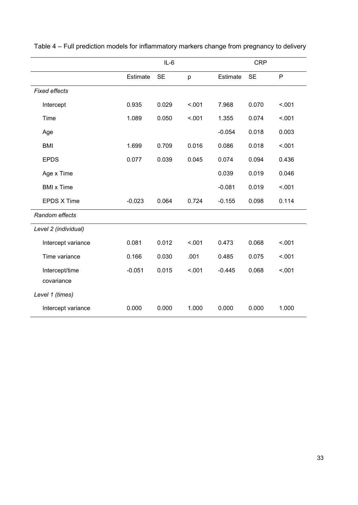|                              |          | $IL-6$    |        | <b>CRP</b> |           |        |  |
|------------------------------|----------|-----------|--------|------------|-----------|--------|--|
|                              | Estimate | <b>SE</b> | p      | Estimate   | <b>SE</b> | P      |  |
| <b>Fixed effects</b>         |          |           |        |            |           |        |  |
| Intercept                    | 0.935    | 0.029     | < .001 | 7.968      | 0.070     | < .001 |  |
| Time                         | 1.089    | 0.050     | < .001 | 1.355      | 0.074     | < .001 |  |
| Age                          |          |           |        | $-0.054$   | 0.018     | 0.003  |  |
| <b>BMI</b>                   | 1.699    | 0.709     | 0.016  | 0.086      | 0.018     | < .001 |  |
| <b>EPDS</b>                  | 0.077    | 0.039     | 0.045  | 0.074      | 0.094     | 0.436  |  |
| Age x Time                   |          |           |        | 0.039      | 0.019     | 0.046  |  |
| <b>BMI</b> x Time            |          |           |        | $-0.081$   | 0.019     | < .001 |  |
| <b>EPDS X Time</b>           | $-0.023$ | 0.064     | 0.724  | $-0.155$   | 0.098     | 0.114  |  |
| Random effects               |          |           |        |            |           |        |  |
| Level 2 (individual)         |          |           |        |            |           |        |  |
| Intercept variance           | 0.081    | 0.012     | < .001 | 0.473      | 0.068     | < .001 |  |
| Time variance                | 0.166    | 0.030     | .001   | 0.485      | 0.075     | < .001 |  |
| Intercept/time<br>covariance | $-0.051$ | 0.015     | < .001 | $-0.445$   | 0.068     | < .001 |  |
|                              |          |           |        |            |           |        |  |
| Level 1 (times)              |          |           |        |            |           |        |  |
| Intercept variance           | 0.000    | 0.000     | 1.000  | 0.000      | 0.000     | 1.000  |  |

Table 4 – Full prediction models for inflammatory markers change from pregnancy to delivery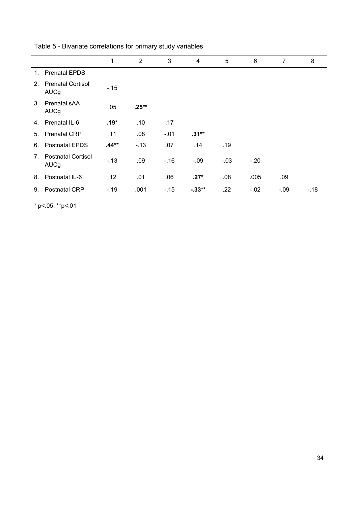|                |                                         | 1       | $\overline{2}$ | 3      | 4         | 5      | 6      | $\overline{7}$ | 8      |
|----------------|-----------------------------------------|---------|----------------|--------|-----------|--------|--------|----------------|--------|
| 1.             | <b>Prenatal EPDS</b>                    |         |                |        |           |        |        |                |        |
| 2.             | <b>Prenatal Cortisol</b><br><b>AUCg</b> | $-.15$  |                |        |           |        |        |                |        |
| $\mathbf{3}$   | Prenatal sAA<br><b>AUCg</b>             | .05     | $.25**$        |        |           |        |        |                |        |
| 4.             | Prenatal IL-6                           | $.19*$  | .10            | .17    |           |        |        |                |        |
| 5.             | <b>Prenatal CRP</b>                     | .11     | .08            | $-.01$ | $.31**$   |        |        |                |        |
| 6.             | <b>Postnatal EPDS</b>                   | $.44**$ | $-.13$         | .07    | .14       | .19    |        |                |        |
| 7 <sub>1</sub> | <b>Postnatal Cortisol</b><br>AUCg       | $-.13$  | .09            | $-.16$ | $-.09$    | $-.03$ | $-.20$ |                |        |
| 8.             | Postnatal IL-6                          | .12     | .01            | .06    | $.27*$    | .08    | .005   | .09            |        |
| 9.             | <b>Postnatal CRP</b>                    | $-.19$  | .001           | $-15$  | $-0.33**$ | .22    | $-.02$ | $-.09$         | $-.18$ |

Table 5 - Bivariate correlations for primary study variables

\* p<.05; \*\*p<.01